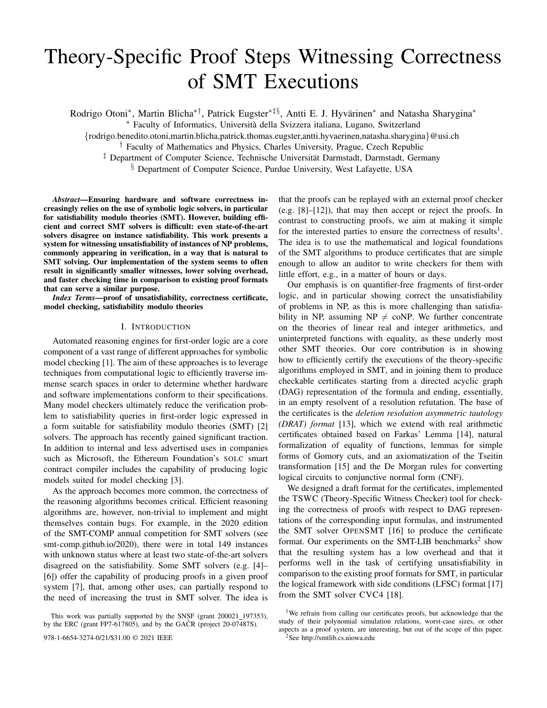# Theory-Specific Proof Steps Witnessing Correctness of SMT Executions

Rodrigo Otoni\*, Martin Blicha\*<sup>†</sup>, Patrick Eugster<sup>\*‡§</sup>, Antti E. J. Hyvärinen\* and Natasha Sharygina\*

<sup>∗</sup> Faculty of Informatics, Universita della Svizzera italiana, Lugano, Switzerland `

{rodrigo.benedito.otoni,martin.blicha,patrick.thomas.eugster,antti.hyvaerinen,natasha.sharygina}@usi.ch

† Faculty of Mathematics and Physics, Charles University, Prague, Czech Republic

<sup>‡</sup> Department of Computer Science, Technische Universität Darmstadt, Darmstadt, Germany

§ Department of Computer Science, Purdue University, West Lafayette, USA

*Abstract*—Ensuring hardware and software correctness increasingly relies on the use of symbolic logic solvers, in particular for satisfiability modulo theories (SMT). However, building efficient and correct SMT solvers is difficult: even state-of-the-art solvers disagree on instance satisfiability. This work presents a system for witnessing unsatisfiability of instances of NP problems, commonly appearing in verification, in a way that is natural to SMT solving. Our implementation of the system seems to often result in significantly smaller witnesses, lower solving overhead, and faster checking time in comparison to existing proof formats that can serve a similar purpose.

*Index Terms*—proof of unsatisfiability, correctness certificate, model checking, satisfiability modulo theories

#### I. INTRODUCTION

Automated reasoning engines for first-order logic are a core component of a vast range of different approaches for symbolic model checking [1]. The aim of these approaches is to leverage techniques from computational logic to efficiently traverse immense search spaces in order to determine whether hardware and software implementations conform to their specifications. Many model checkers ultimately reduce the verification problem to satisfiability queries in first-order logic expressed in a form suitable for satisfiability modulo theories (SMT) [2] solvers. The approach has recently gained significant traction. In addition to internal and less advertised uses in companies such as Microsoft, the Ethereum Foundation's SOLC smart contract compiler includes the capability of producing logic models suited for model checking [3].

As the approach becomes more common, the correctness of the reasoning algorithms becomes critical. Efficient reasoning algorithms are, however, non-trivial to implement and might themselves contain bugs. For example, in the 2020 edition of the SMT-COMP annual competition for SMT solvers (see smt-comp.github.io/2020), there were in total 149 instances with unknown status where at least two state-of-the-art solvers disagreed on the satisfiability. Some SMT solvers (e.g. [4]– [6]) offer the capability of producing proofs in a given proof system [7], that, among other uses, can partially respond to the need of increasing the trust in SMT solver. The idea is

978-1-6654-3274-0/21/\$31.00  $\odot$  2021 IEEE  $^{2}$ See http://smtlib.cs.uiowa.edu

that the proofs can be replayed with an external proof checker (e.g. [8]–[12]), that may then accept or reject the proofs. In contrast to constructing proofs, we aim at making it simple for the interested parties to ensure the correctness of results<sup>1</sup>. The idea is to use the mathematical and logical foundations of the SMT algorithms to produce certificates that are simple enough to allow an auditor to write checkers for them with little effort, e.g., in a matter of hours or days.

Our emphasis is on quantifier-free fragments of first-order logic, and in particular showing correct the unsatisfiability of problems in NP, as this is more challenging than satisfiability in NP, assuming NP  $\neq$  coNP. We further concentrate on the theories of linear real and integer arithmetics, and uninterpreted functions with equality, as these underly most other SMT theories. Our core contribution is in showing how to efficiently certify the executions of the theory-specific algorithms employed in SMT, and in joining them to produce checkable certificates starting from a directed acyclic graph (DAG) representation of the formula and ending, essentially, in an empty resolvent of a resolution refutation. The base of the certificates is the *deletion resolution asymmetric tautology (DRAT) format* [13], which we extend with real arithmetic certificates obtained based on Farkas' Lemma [14], natural formalization of equality of functions, lemmas for simple forms of Gomory cuts, and an axiomatization of the Tseitin transformation [15] and the De Morgan rules for converting logical circuits to conjunctive normal form (CNF).

We designed a draft format for the certificates, implemented the TSWC (Theory-Specific Witness Checker) tool for checking the correctness of proofs with respect to DAG representations of the corresponding input formulas, and instrumented the SMT solver OPENSMT [16] to produce the certificate format. Our experiments on the SMT-LIB benchmarks<sup>2</sup> show that the resulting system has a low overhead and that it performs well in the task of certifying unsatisfiability in comparison to the existing proof formats for SMT, in particular the logical framework with side conditions (LFSC) format [17] from the SMT solver CVC4 [18].

This work was partially supported by the SNSF (grant 200021\_197353), by the ERC (grant FP7-617805), and by the GACR (project  $20-07487S$ ).

<sup>&</sup>lt;sup>1</sup>We refrain from calling our certificates proofs, but acknowledge that the study of their polynomial simulation relations, worst-case sizes, or other aspects as a proof system, are interesting, but out of the scope of this paper.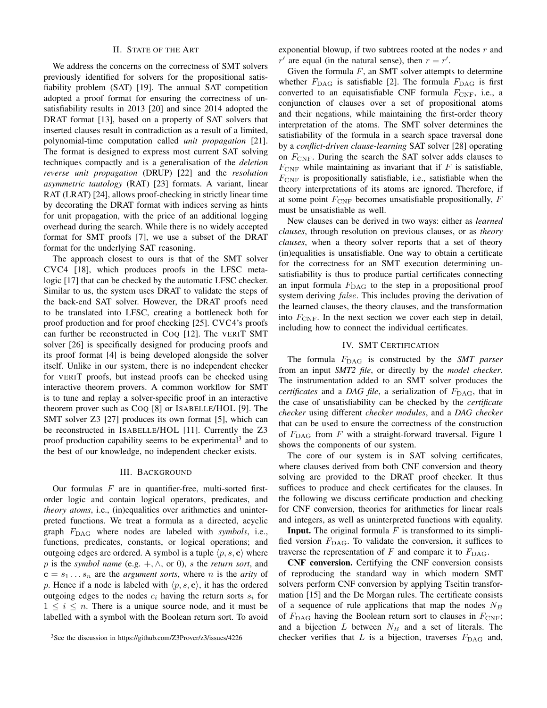### II. STATE OF THE ART

We address the concerns on the correctness of SMT solvers previously identified for solvers for the propositional satisfiability problem (SAT) [19]. The annual SAT competition adopted a proof format for ensuring the correctness of unsatisfiability results in 2013 [20] and since 2014 adopted the DRAT format [13], based on a property of SAT solvers that inserted clauses result in contradiction as a result of a limited, polynomial-time computation called *unit propagation* [21]. The format is designed to express most current SAT solving techniques compactly and is a generalisation of the *deletion reverse unit propagation* (DRUP) [22] and the *resolution asymmetric tautology* (RAT) [23] formats. A variant, linear RAT (LRAT) [24], allows proof-checking in strictly linear time by decorating the DRAT format with indices serving as hints for unit propagation, with the price of an additional logging overhead during the search. While there is no widely accepted format for SMT proofs [7], we use a subset of the DRAT format for the underlying SAT reasoning.

The approach closest to ours is that of the SMT solver CVC4 [18], which produces proofs in the LFSC metalogic [17] that can be checked by the automatic LFSC checker. Similar to us, the system uses DRAT to validate the steps of the back-end SAT solver. However, the DRAT proofs need to be translated into LFSC, creating a bottleneck both for proof production and for proof checking [25]. CVC4's proofs can further be reconstructed in COQ [12]. The VERIT SMT solver [26] is specifically designed for producing proofs and its proof format [4] is being developed alongside the solver itself. Unlike in our system, there is no independent checker for VERIT proofs, but instead proofs can be checked using interactive theorem provers. A common workflow for SMT is to tune and replay a solver-specific proof in an interactive theorem prover such as COQ [8] or ISABELLE/HOL [9]. The SMT solver Z3 [27] produces its own format [5], which can be reconstructed in ISABELLE/HOL [11]. Currently the Z3 proof production capability seems to be experimental<sup>3</sup> and to the best of our knowledge, no independent checker exists.

## III. BACKGROUND

Our formulas  $F$  are in quantifier-free, multi-sorted firstorder logic and contain logical operators, predicates, and *theory atoms*, i.e., (in)equalities over arithmetics and uninterpreted functions. We treat a formula as a directed, acyclic graph FDAG where nodes are labeled with *symbols*, i.e., functions, predicates, constants, or logical operations; and outgoing edges are ordered. A symbol is a tuple  $\langle p, s, c \rangle$  where p is the *symbol name* (e.g. +, ∧, or 0), s the *return sort*, and  $c = s_1 \dots s_n$  are the *argument sorts*, where *n* is the *arity* of p. Hence if a node is labeled with  $\langle p, s, c \rangle$ , it has the ordered outgoing edges to the nodes  $c_i$  having the return sorts  $s_i$  for  $1 \leq i \leq n$ . There is a unique source node, and it must be labelled with a symbol with the Boolean return sort. To avoid exponential blowup, if two subtrees rooted at the nodes  $r$  and  $r'$  are equal (in the natural sense), then  $r = r'$ .

Given the formula  $F$ , an SMT solver attempts to determine whether  $F_{\text{DAG}}$  is satisfiable [2]. The formula  $F_{\text{DAG}}$  is first converted to an equisatisfiable CNF formula  $F_{\text{CNF}}$ , i.e., a conjunction of clauses over a set of propositional atoms and their negations, while maintaining the first-order theory interpretation of the atoms. The SMT solver determines the satisfiability of the formula in a search space traversal done by a *conflict-driven clause-learning* SAT solver [28] operating on  $F_{\text{CNF}}$ . During the search the SAT solver adds clauses to  $F_{\text{CNF}}$  while maintaining as invariant that if F is satisfiable,  $F_{\text{CNF}}$  is propositionally satisfiable, i.e., satisfiable when the theory interpretations of its atoms are ignored. Therefore, if at some point  $F_{\text{CNF}}$  becomes unsatisfiable propositionally,  $F$ must be unsatisfiable as well.

New clauses can be derived in two ways: either as *learned clauses*, through resolution on previous clauses, or as *theory clauses*, when a theory solver reports that a set of theory (in)equalities is unsatisfiable. One way to obtain a certificate for the correctness for an SMT execution determining unsatisfiability is thus to produce partial certificates connecting an input formula  $F_{\text{DAG}}$  to the step in a propositional proof system deriving *false*. This includes proving the derivation of the learned clauses, the theory clauses, and the transformation into  $F_{\text{CNF}}$ . In the next section we cover each step in detail, including how to connect the individual certificates.

## IV. SMT CERTIFICATION

The formula  $F_{\text{DAG}}$  is constructed by the *SMT parser* from an input *SMT2 file*, or directly by the *model checker*. The instrumentation added to an SMT solver produces the *certificates* and a *DAG file*, a serialization of  $F_{\text{DAG}}$ , that in the case of unsatisfiability can be checked by the *certificate checker* using different *checker modules*, and a *DAG checker* that can be used to ensure the correctness of the construction of  $F_{\text{DAG}}$  from F with a straight-forward traversal. Figure 1 shows the components of our system.

The core of our system is in SAT solving certificates, where clauses derived from both CNF conversion and theory solving are provided to the DRAT proof checker. It thus suffices to produce and check certificates for the clauses. In the following we discuss certificate production and checking for CNF conversion, theories for arithmetics for linear reals and integers, as well as uninterpreted functions with equality.

**Input.** The original formula  $F$  is transformed to its simplified version  $F_{\text{DAG}}$ . To validate the conversion, it suffices to traverse the representation of  $F$  and compare it to  $F_{\text{DAG}}$ .

CNF conversion. Certifying the CNF conversion consists of reproducing the standard way in which modern SMT solvers perform CNF conversion by applying Tseitin transformation [15] and the De Morgan rules. The certificate consists of a sequence of rule applications that map the nodes  $N_B$ of  $F_{\text{DAG}}$  having the Boolean return sort to clauses in  $F_{\text{CNF}}$ ; and a bijection  $L$  between  $N_B$  and a set of literals. The checker verifies that  $L$  is a bijection, traverses  $F_{\text{DAG}}$  and,

<sup>3</sup>See the discussion in https://github.com/Z3Prover/z3/issues/4226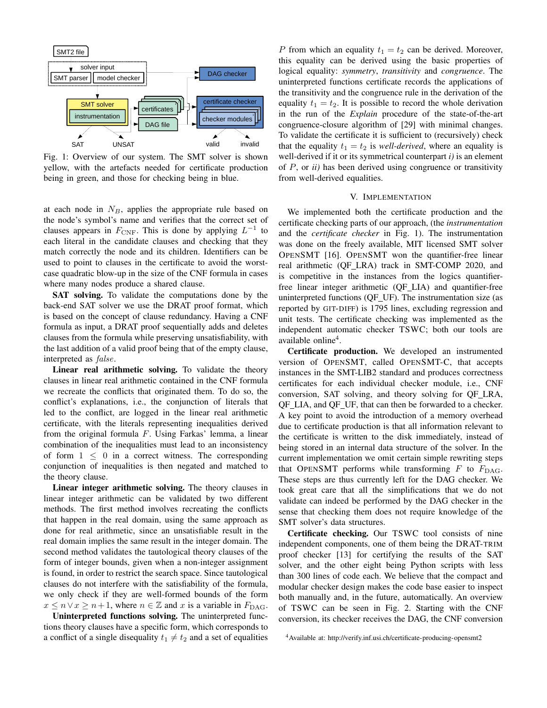

Fig. 1: Overview of our system. The SMT solver is shown yellow, with the artefacts needed for certificate production being in green, and those for checking being in blue.

at each node in  $N_B$ , applies the appropriate rule based on the node's symbol's name and verifies that the correct set of clauses appears in  $F_{\text{CNF}}$ . This is done by applying  $L^{-1}$  to each literal in the candidate clauses and checking that they match correctly the node and its children. Identifiers can be used to point to clauses in the certificate to avoid the worstcase quadratic blow-up in the size of the CNF formula in cases where many nodes produce a shared clause.

SAT solving. To validate the computations done by the back-end SAT solver we use the DRAT proof format, which is based on the concept of clause redundancy. Having a CNF formula as input, a DRAT proof sequentially adds and deletes clauses from the formula while preserving unsatisfiability, with the last addition of a valid proof being that of the empty clause, interpreted as false.

Linear real arithmetic solving. To validate the theory clauses in linear real arithmetic contained in the CNF formula we recreate the conflicts that originated them. To do so, the conflict's explanations, i.e., the conjunction of literals that led to the conflict, are logged in the linear real arithmetic certificate, with the literals representing inequalities derived from the original formula  $F$ . Using Farkas' lemma, a linear combination of the inequalities must lead to an inconsistency of form  $1 \leq 0$  in a correct witness. The corresponding conjunction of inequalities is then negated and matched to the theory clause.

Linear integer arithmetic solving. The theory clauses in linear integer arithmetic can be validated by two different methods. The first method involves recreating the conflicts that happen in the real domain, using the same approach as done for real arithmetic, since an unsatisfiable result in the real domain implies the same result in the integer domain. The second method validates the tautological theory clauses of the form of integer bounds, given when a non-integer assignment is found, in order to restrict the search space. Since tautological clauses do not interfere with the satisfiability of the formula, we only check if they are well-formed bounds of the form  $x \leq n \vee x \geq n+1$ , where  $n \in \mathbb{Z}$  and x is a variable in  $F_{\text{DAG}}$ .

Uninterpreted functions solving. The uninterpreted functions theory clauses have a specific form, which corresponds to a conflict of a single disequality  $t_1 \neq t_2$  and a set of equalities

P from which an equality  $t_1 = t_2$  can be derived. Moreover, this equality can be derived using the basic properties of logical equality: *symmetry*, *transitivity* and *congruence*. The uninterpreted functions certificate records the applications of the transitivity and the congruence rule in the derivation of the equality  $t_1 = t_2$ . It is possible to record the whole derivation in the run of the *Explain* procedure of the state-of-the-art congruence-closure algorithm of [29] with minimal changes. To validate the certificate it is sufficient to (recursively) check that the equality  $t_1 = t_2$  is *well-derived*, where an equality is well-derived if it or its symmetrical counterpart *i)* is an element of P, or *ii)* has been derived using congruence or transitivity from well-derived equalities.

## V. IMPLEMENTATION

We implemented both the certificate production and the certificate checking parts of our approach, (the *instrumentation* and the *certificate checker* in Fig. 1). The instrumentation was done on the freely available, MIT licensed SMT solver OPENSMT [16]. OPENSMT won the quantifier-free linear real arithmetic (QF LRA) track in SMT-COMP 2020, and is competitive in the instances from the logics quantifierfree linear integer arithmetic (QF LIA) and quantifier-free uninterpreted functions (QF UF). The instrumentation size (as reported by GIT-DIFF) is 1795 lines, excluding regression and unit tests. The certificate checking was implemented as the independent automatic checker TSWC; both our tools are available online<sup>4</sup>.

Certificate production. We developed an instrumented version of OPENSMT, called OPENSMT-C, that accepts instances in the SMT-LIB2 standard and produces correctness certificates for each individual checker module, i.e., CNF conversion, SAT solving, and theory solving for QF LRA, QF LIA, and QF UF, that can then be forwarded to a checker. A key point to avoid the introduction of a memory overhead due to certificate production is that all information relevant to the certificate is written to the disk immediately, instead of being stored in an internal data structure of the solver. In the current implementation we omit certain simple rewriting steps that OPENSMT performs while transforming  $F$  to  $F_{\text{DAG}}$ . These steps are thus currently left for the DAG checker. We took great care that all the simplifications that we do not validate can indeed be performed by the DAG checker in the sense that checking them does not require knowledge of the SMT solver's data structures.

Certificate checking. Our TSWC tool consists of nine independent components, one of them being the DRAT-TRIM proof checker [13] for certifying the results of the SAT solver, and the other eight being Python scripts with less than 300 lines of code each. We believe that the compact and modular checker design makes the code base easier to inspect both manually and, in the future, automatically. An overview of TSWC can be seen in Fig. 2. Starting with the CNF conversion, its checker receives the DAG, the CNF conversion

<sup>4</sup>Available at: http://verify.inf.usi.ch/certificate-producing-opensmt2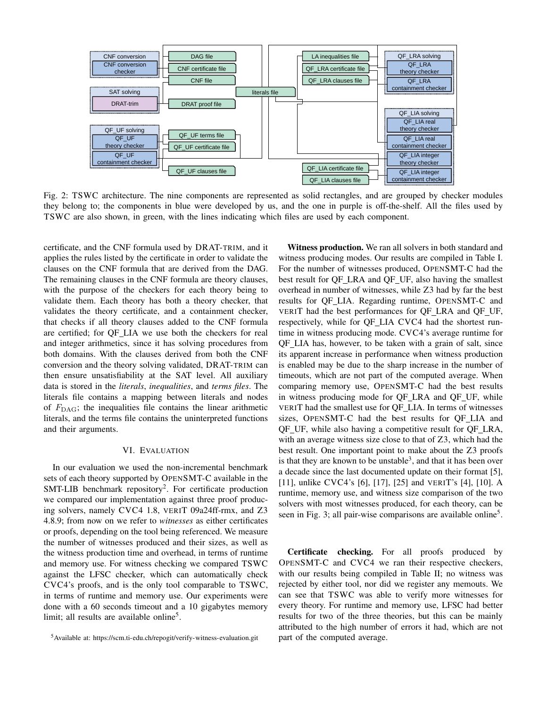

Fig. 2: TSWC architecture. The nine components are represented as solid rectangles, and are grouped by checker modules they belong to; the components in blue were developed by us, and the one in purple is off-the-shelf. All the files used by TSWC are also shown, in green, with the lines indicating which files are used by each component.

certificate, and the CNF formula used by DRAT-TRIM, and it applies the rules listed by the certificate in order to validate the clauses on the CNF formula that are derived from the DAG. The remaining clauses in the CNF formula are theory clauses, with the purpose of the checkers for each theory being to validate them. Each theory has both a theory checker, that validates the theory certificate, and a containment checker, that checks if all theory clauses added to the CNF formula are certified; for QF LIA we use both the checkers for real and integer arithmetics, since it has solving procedures from both domains. With the clauses derived from both the CNF conversion and the theory solving validated, DRAT-TRIM can then ensure unsatisfiability at the SAT level. All auxiliary data is stored in the *literals*, *inequalities*, and *terms files*. The literals file contains a mapping between literals and nodes of  $F_{\text{DAG}}$ ; the inequalities file contains the linear arithmetic literals, and the terms file contains the uninterpreted functions and their arguments.

#### VI. EVALUATION

In our evaluation we used the non-incremental benchmark sets of each theory supported by OPENSMT-C available in the SMT-LIB benchmark repository<sup>2</sup>. For certificate production we compared our implementation against three proof producing solvers, namely CVC4 1.8, VERIT 09a24ff-rmx, and Z3 4.8.9; from now on we refer to *witnesses* as either certificates or proofs, depending on the tool being referenced. We measure the number of witnesses produced and their sizes, as well as the witness production time and overhead, in terms of runtime and memory use. For witness checking we compared TSWC against the LFSC checker, which can automatically check CVC4's proofs, and is the only tool comparable to TSWC, in terms of runtime and memory use. Our experiments were done with a 60 seconds timeout and a 10 gigabytes memory limit; all results are available online<sup>5</sup>.

Witness production. We ran all solvers in both standard and witness producing modes. Our results are compiled in Table I. For the number of witnesses produced, OPENSMT-C had the best result for QF\_LRA and QF\_UF, also having the smallest overhead in number of witnesses, while Z3 had by far the best results for QF LIA. Regarding runtime, OPENSMT-C and VERIT had the best performances for QF LRA and QF UF, respectively, while for QF LIA CVC4 had the shortest runtime in witness producing mode. CVC4's average runtime for QF LIA has, however, to be taken with a grain of salt, since its apparent increase in performance when witness production is enabled may be due to the sharp increase in the number of timeouts, which are not part of the computed average. When comparing memory use, OPENSMT-C had the best results in witness producing mode for QF LRA and QF UF, while VERIT had the smallest use for QF LIA. In terms of witnesses sizes, OPENSMT-C had the best results for QF LIA and QF UF, while also having a competitive result for QF LRA, with an average witness size close to that of Z3, which had the best result. One important point to make about the Z3 proofs is that they are known to be unstable<sup>3</sup>, and that it has been over a decade since the last documented update on their format [5], [11], unlike CVC4's [6], [17], [25] and VERIT's [4], [10]. A runtime, memory use, and witness size comparison of the two solvers with most witnesses produced, for each theory, can be seen in Fig. 3; all pair-wise comparisons are available online<sup>5</sup>.

Certificate checking. For all proofs produced by OPENSMT-C and CVC4 we ran their respective checkers, with our results being compiled in Table II; no witness was rejected by either tool, nor did we register any memouts. We can see that TSWC was able to verify more witnesses for every theory. For runtime and memory use, LFSC had better results for two of the three theories, but this can be mainly attributed to the high number of errors it had, which are not part of the computed average.

<sup>5</sup>Available at: https://scm.ti-edu.ch/repogit/verify-witness-evaluation.git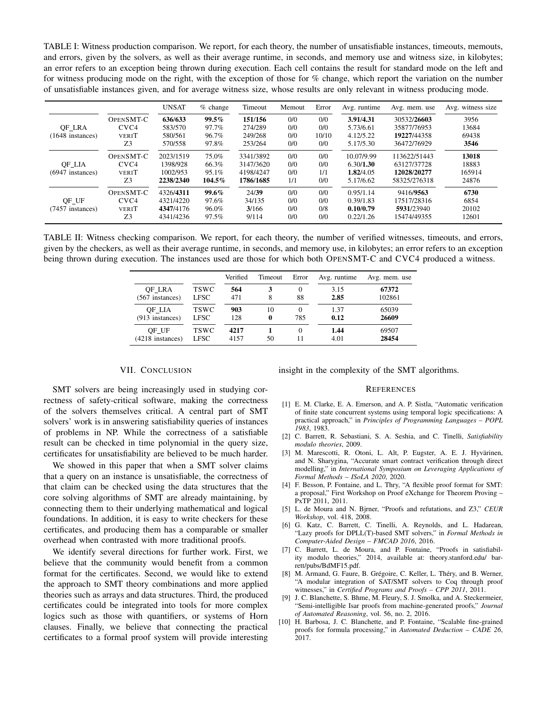TABLE I: Witness production comparison. We report, for each theory, the number of unsatisfiable instances, timeouts, memouts, and errors, given by the solvers, as well as their average runtime, in seconds, and memory use and witness size, in kilobytes; an error refers to an exception being thrown during execution. Each cell contains the result for standard mode on the left and for witness producing mode on the right, with the exception of those for % change, which report the variation on the number of unsatisfiable instances given, and for average witness size, whose results are only relevant in witness producing mode.

|                              |                  | <b>UNSAT</b> | $%$ change | Timeout   | Memout | Error | Avg. runtime | Avg. mem. use | Avg. witness size |
|------------------------------|------------------|--------------|------------|-----------|--------|-------|--------------|---------------|-------------------|
|                              | OPENSMT-C        | 636/633      | $99.5\%$   | 151/156   | 0/0    | 0/0   | 3.91/4.31    | 30532/26603   | 3956              |
| OF LRA<br>$(1648$ instances) | CVC <sub>4</sub> | 583/570      | 97.7%      | 274/289   | 0/0    | 0/0   | 5.73/6.61    | 35877/76953   | 13684             |
|                              | <b>VERIT</b>     | 580/561      | 96.7%      | 249/268   | 0/0    | 10/10 | 4.12/5.22    | 19227/44358   | 69438             |
|                              | Z3               | 570/558      | 97.8%      | 253/264   | 0/0    | 0/0   | 5.17/5.30    | 36472/76929   | 3546              |
| OF LIA<br>$(6947$ instances) | <b>OPENSMT-C</b> | 2023/1519    | 75.0%      | 3341/3892 | 0/0    | 0/0   | 10.07/9.99   | 113622/51443  | 13018             |
|                              | CVC <sub>4</sub> | 1398/928     | 66.3%      | 3147/3620 | 0/0    | 0/0   | 6.30/1.30    | 63127/37728   | 18883             |
|                              | <b>VERIT</b>     | 1002/953     | 95.1%      | 4198/4247 | 0/0    | 1/1   | 1.82/4.05    | 12028/20277   | 165914            |
|                              | Z3               | 2238/2340    | 104.5%     | 1786/1685 | 1/1    | 0/0   | 5.17/6.62    | 58325/276318  | 24876             |
| OF UF<br>(7457 instances)    | <b>OPENSMT-C</b> | 4326/4311    | $99.6\%$   | 24/39     | 0/0    | 0/0   | 0.95/1.14    | 9416/9563     | 6730              |
|                              | CVC <sub>4</sub> | 4321/4220    | 97.6%      | 34/135    | 0/0    | 0/0   | 0.39/1.83    | 17517/28316   | 6854              |
|                              | <b>VERIT</b>     | 4347/4176    | 96.0%      | 3/166     | 0/0    | 0/8   | 0.10/0.79    | 5931/23940    | 20102             |
|                              | Z3               | 4341/4236    | 97.5%      | 9/114     | 0/0    | 0/0   | 0.22/1.26    | 15474/49355   | 12601             |

TABLE II: Witness checking comparison. We report, for each theory, the number of verified witnesses, timeouts, and errors, given by the checkers, as well as their average runtime, in seconds, and memory use, in kilobytes; an error refers to an exception being thrown during execution. The instances used are those for which both OPENSMT-C and CVC4 produced a witness.

|                   |             | Verified | Timeout | Error | Avg. runtime | Avg. mem. use |
|-------------------|-------------|----------|---------|-------|--------------|---------------|
| OF LRA            | <b>TSWC</b> | 564      | 3       | 0     | 3.15         | 67372         |
| (567 instances)   | <b>LFSC</b> | 471      | 8       | 88    | 2.85         | 102861        |
| OF LIA            | <b>TSWC</b> | 903      | 10      | 0     | 1.37         | 65039         |
| $(913$ instances) | <b>LFSC</b> | 128      | 0       | 785   | 0.12         | 26609         |
| OF UF             | <b>TSWC</b> | 4217     |         | 0     | 1.44         | 69507         |
| (4218 instances)  | <b>LFSC</b> | 4157     | 50      | 11    | 4.01         | 28454         |

#### VII. CONCLUSION

insight in the complexity of the SMT algorithms.

SMT solvers are being increasingly used in studying correctness of safety-critical software, making the correctness of the solvers themselves critical. A central part of SMT solvers' work is in answering satisfiability queries of instances of problems in NP. While the correctness of a satisfiable result can be checked in time polynomial in the query size,

certificates for unsatisfiability are believed to be much harder. We showed in this paper that when a SMT solver claims that a query on an instance is unsatisfiable, the correctness of

that claim can be checked using the data structures that the core solving algorithms of SMT are already maintaining, by connecting them to their underlying mathematical and logical foundations. In addition, it is easy to write checkers for these certificates, and producing them has a comparable or smaller overhead when contrasted with more traditional proofs.

We identify several directions for further work. First, we believe that the community would benefit from a common format for the certificates. Second, we would like to extend the approach to SMT theory combinations and more applied theories such as arrays and data structures. Third, the produced certificates could be integrated into tools for more complex logics such as those with quantifiers, or systems of Horn clauses. Finally, we believe that connecting the practical certificates to a formal proof system will provide interesting

#### **REFERENCES**

- [1] E. M. Clarke, E. A. Emerson, and A. P. Sistla, "Automatic verification of finite state concurrent systems using temporal logic specifications: A practical approach," in *Principles of Programming Languages – POPL 1983*, 1983.
- [2] C. Barrett, R. Sebastiani, S. A. Seshia, and C. Tinelli, *Satisfiability modulo theories*, 2009.
- [3] M. Marescotti, R. Otoni, L. Alt, P. Eugster, A. E. J. Hyvärinen, and N. Sharygina, "Accurate smart contract verification through direct modelling," in *International Symposium on Leveraging Applications of Formal Methods – ISoLA 2020*, 2020.
- [4] F. Besson, P. Fontaine, and L. Thry, "A flexible proof format for SMT: a proposal," First Workshop on Proof eXchange for Theorem Proving – PxTP 2011, 2011.
- [5] L. de Moura and N. Bjrner, "Proofs and refutations, and Z3," *CEUR Workshop*, vol. 418, 2008.
- [6] G. Katz, C. Barrett, C. Tinelli, A. Reynolds, and L. Hadarean, "Lazy proofs for DPLL(T)-based SMT solvers," in *Formal Methods in Computer-Aided Design – FMCAD 2016*, 2016.
- [7] C. Barrett, L. de Moura, and P. Fontaine, "Proofs in satisfiability modulo theories," 2014, available at: theory.stanford.edu/ barrett/pubs/BdMF15.pdf.
- [8] M. Armand, G. Faure, B. Grégoire, C. Keller, L. Théry, and B. Werner, "A modular integration of SAT/SMT solvers to Coq through proof witnesses," in *Certified Programs and Proofs – CPP 2011*, 2011.
- [9] J. C. Blanchette, S. Bhme, M. Fleury, S. J. Smolka, and A. Steckermeier, "Semi-intelligible Isar proofs from machine-generated proofs," *Journal of Automated Reasoning*, vol. 56, no. 2, 2016.
- [10] H. Barbosa, J. C. Blanchette, and P. Fontaine, "Scalable fine-grained proofs for formula processing," in *Automated Deduction – CADE 26*, 2017.